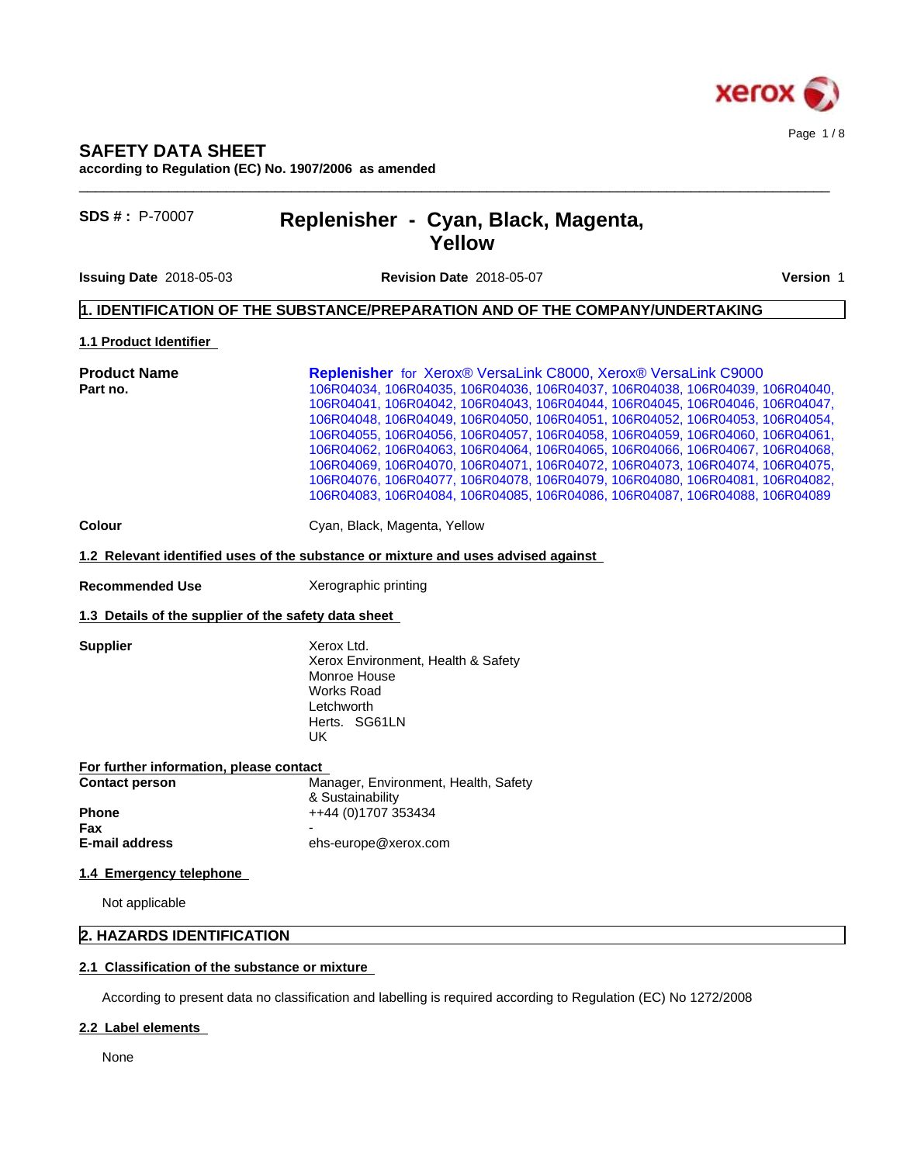

## **SAFETY DATA SHEET**

**according to Regulation (EC) No. 1907/2006 as amended**

# **SDS # :** P-70007 **Replenisher - Cyan, Black, Magenta, Yellow**

**Issuing Date** 2018-05-03 **Revision Date** 2018-05-07 **Version** 1

 $\_$  ,  $\_$  ,  $\_$  ,  $\_$  ,  $\_$  ,  $\_$  ,  $\_$  ,  $\_$  ,  $\_$  ,  $\_$  ,  $\_$  ,  $\_$  ,  $\_$  ,  $\_$  ,  $\_$  ,  $\_$  ,  $\_$  ,  $\_$  ,  $\_$  ,  $\_$  ,  $\_$  ,  $\_$  ,  $\_$  ,  $\_$  ,  $\_$  ,  $\_$  ,  $\_$  ,  $\_$  ,  $\_$  ,  $\_$  ,  $\_$  ,  $\_$  ,  $\_$  ,  $\_$  ,  $\_$  ,  $\_$  ,  $\_$  ,

## **1. IDENTIFICATION OF THE SUBSTANCE/PREPARATION AND OF THE COMPANY/UNDERTAKING**

**1.1 Product Identifier**

| <b>Replenisher</b> for Xerox® VersaLink C8000, Xerox® VersaLink C9000<br><b>Product Name</b> |                                                                                   |  |  |
|----------------------------------------------------------------------------------------------|-----------------------------------------------------------------------------------|--|--|
| Part no.                                                                                     | 106R04034, 106R04035, 106R04036, 106R04037, 106R04038, 106R04039, 106R04040,      |  |  |
|                                                                                              | 106R04041, 106R04042, 106R04043, 106R04044, 106R04045, 106R04046, 106R04047,      |  |  |
|                                                                                              | 106R04048, 106R04049, 106R04050, 106R04051, 106R04052, 106R04053, 106R04054,      |  |  |
|                                                                                              | 106R04055, 106R04056, 106R04057, 106R04058, 106R04059, 106R04060, 106R04061,      |  |  |
|                                                                                              | 106R04062, 106R04063, 106R04064, 106R04065, 106R04066, 106R04067, 106R04068,      |  |  |
|                                                                                              | 106R04069, 106R04070, 106R04071, 106R04072, 106R04073, 106R04074, 106R04075,      |  |  |
|                                                                                              | 106R04076, 106R04077, 106R04078, 106R04079, 106R04080, 106R04081, 106R04082,      |  |  |
|                                                                                              | 106R04083, 106R04084, 106R04085, 106R04086, 106R04087, 106R04088, 106R04089       |  |  |
| <b>Colour</b>                                                                                | Cyan, Black, Magenta, Yellow                                                      |  |  |
|                                                                                              | 1.2 Relevant identified uses of the substance or mixture and uses advised against |  |  |

**Recommended Use** Xerographic printing

#### **1.3 Details of the supplier of the safety data sheet**

**Supplier** Xerox Ltd. Xerox Environment, Health & Safety Monroe House Works Road Letchworth Herts. SG61LN UK

**For further information, please contact Contact person** Manager, Environment, Health, Safety & Sustainability **Phone**  $++44 (0)1707 353434$ **Fax** - **E-mail address** ehs-europe@xerox.com

#### **1.4 Emergency telephone**

Not applicable

## **2. HAZARDS IDENTIFICATION**

#### **2.1 Classification of the substance or mixture**

According to present data no classification and labelling is required according to Regulation (EC) No 1272/2008

#### **2.2 Label elements**

None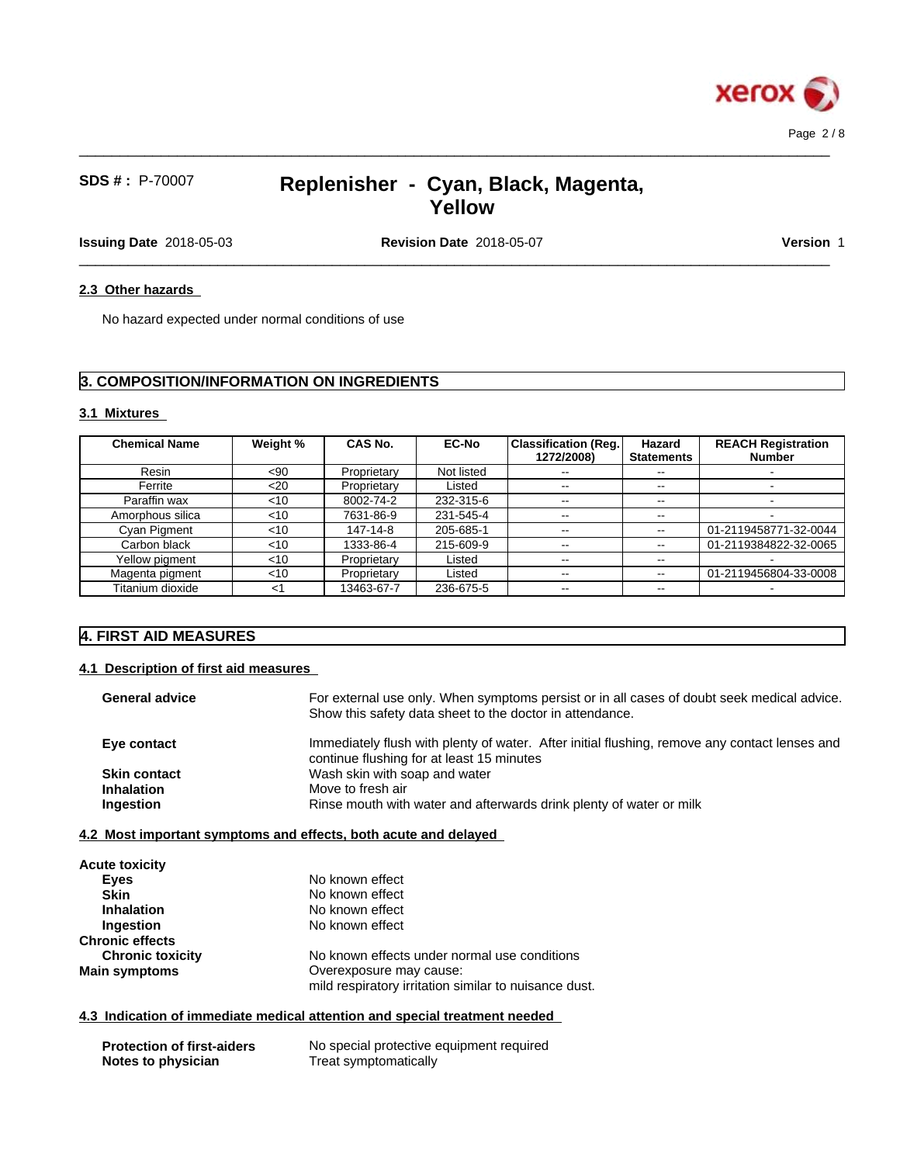

 $\_$  ,  $\_$  ,  $\_$  ,  $\_$  ,  $\_$  ,  $\_$  ,  $\_$  ,  $\_$  ,  $\_$  ,  $\_$  ,  $\_$  ,  $\_$  ,  $\_$  ,  $\_$  ,  $\_$  ,  $\_$  ,  $\_$  ,  $\_$  ,  $\_$  ,  $\_$  ,  $\_$  ,  $\_$  ,  $\_$  ,  $\_$  ,  $\_$  ,  $\_$  ,  $\_$  ,  $\_$  ,  $\_$  ,  $\_$  ,  $\_$  ,  $\_$  ,  $\_$  ,  $\_$  ,  $\_$  ,  $\_$  ,  $\_$  ,

 $\_$  ,  $\_$  ,  $\_$  ,  $\_$  ,  $\_$  ,  $\_$  ,  $\_$  ,  $\_$  ,  $\_$  ,  $\_$  ,  $\_$  ,  $\_$  ,  $\_$  ,  $\_$  ,  $\_$  ,  $\_$  ,  $\_$  ,  $\_$  ,  $\_$  ,  $\_$  ,  $\_$  ,  $\_$  ,  $\_$  ,  $\_$  ,  $\_$  ,  $\_$  ,  $\_$  ,  $\_$  ,  $\_$  ,  $\_$  ,  $\_$  ,  $\_$  ,  $\_$  ,  $\_$  ,  $\_$  ,  $\_$  ,  $\_$  ,

**Issuing Date** 2018-05-03 **Revision Date** 2018-05-07 **Version** 1

#### 2.3 Other hazards

No hazard expected under normal conditions of use

# **3. COMPOSITION/INFORMATION ON INGREDIENTS**

### **3.1 Mixtures**

| <b>Chemical Name</b> | Weight % | <b>CAS No.</b> | <b>EC-No</b> | <b>Classification (Reg.)</b><br>1272/2008) | Hazard<br><b>Statements</b> | <b>REACH Registration</b><br><b>Number</b> |
|----------------------|----------|----------------|--------------|--------------------------------------------|-----------------------------|--------------------------------------------|
| Resin                | $90$     | Proprietary    | Not listed   | $\sim$ $-$                                 | --                          |                                            |
| Ferrite              | $20$     | Proprietary    | Listed       | $\sim$ $\sim$                              | $\sim$ $\sim$               |                                            |
| Paraffin wax         | $<$ 10   | 8002-74-2      | 232-315-6    | $\sim$ $\sim$                              | $- -$                       |                                            |
| Amorphous silica     | < 10     | 7631-86-9      | 231-545-4    | --                                         | $- -$                       |                                            |
| <b>Cyan Pigment</b>  | $<$ 10   | 147-14-8       | 205-685-1    | $\sim$ $\sim$                              | $\sim$ $\sim$               | 01-2119458771-32-0044                      |
| Carbon black         | $<$ 10   | 1333-86-4      | 215-609-9    | $\sim$ $\sim$                              | $\sim$ $\sim$               | 01-2119384822-32-0065                      |
| Yellow pigment       | $<$ 10   | Proprietary    | Listed       | $\sim$ $\sim$                              | $- -$                       |                                            |
| Magenta pigment      | $<$ 10   | Proprietary    | Listed       | $\overline{\phantom{m}}$                   | $- -$                       | 01-2119456804-33-0008                      |
| Titanium dioxide     | <1       | 13463-67-7     | 236-675-5    | $\sim$ $\sim$                              | $- -$                       |                                            |

# **4. FIRST AID MEASURES**

### **4.1 Description of first aid measures**

| For external use only. When symptoms persist or in all cases of doubt seek medical advice.<br>Show this safety data sheet to the doctor in attendance. |
|--------------------------------------------------------------------------------------------------------------------------------------------------------|
| Immediately flush with plenty of water. After initial flushing, remove any contact lenses and<br>continue flushing for at least 15 minutes             |
| Wash skin with soap and water                                                                                                                          |
| Move to fresh air                                                                                                                                      |
| Rinse mouth with water and afterwards drink plenty of water or milk                                                                                    |
| 4.2 Most important symptoms and effects, both acute and delayed                                                                                        |
|                                                                                                                                                        |

| <b>Acute toxicity</b>   |                                                                                  |
|-------------------------|----------------------------------------------------------------------------------|
| Eyes                    | No known effect                                                                  |
| <b>Skin</b>             | No known effect                                                                  |
| <b>Inhalation</b>       | No known effect                                                                  |
| Ingestion               | No known effect                                                                  |
| <b>Chronic effects</b>  |                                                                                  |
| <b>Chronic toxicity</b> | No known effects under normal use conditions                                     |
| <b>Main symptoms</b>    | Overexposure may cause:<br>mild respiratory irritation similar to nuisance dust. |

#### **4.3 Indication of immediate medical attention and special treatment needed**

| <b>Protection of first-aiders</b> | No special protective equipment required |
|-----------------------------------|------------------------------------------|
| Notes to physician                | Treat symptomatically                    |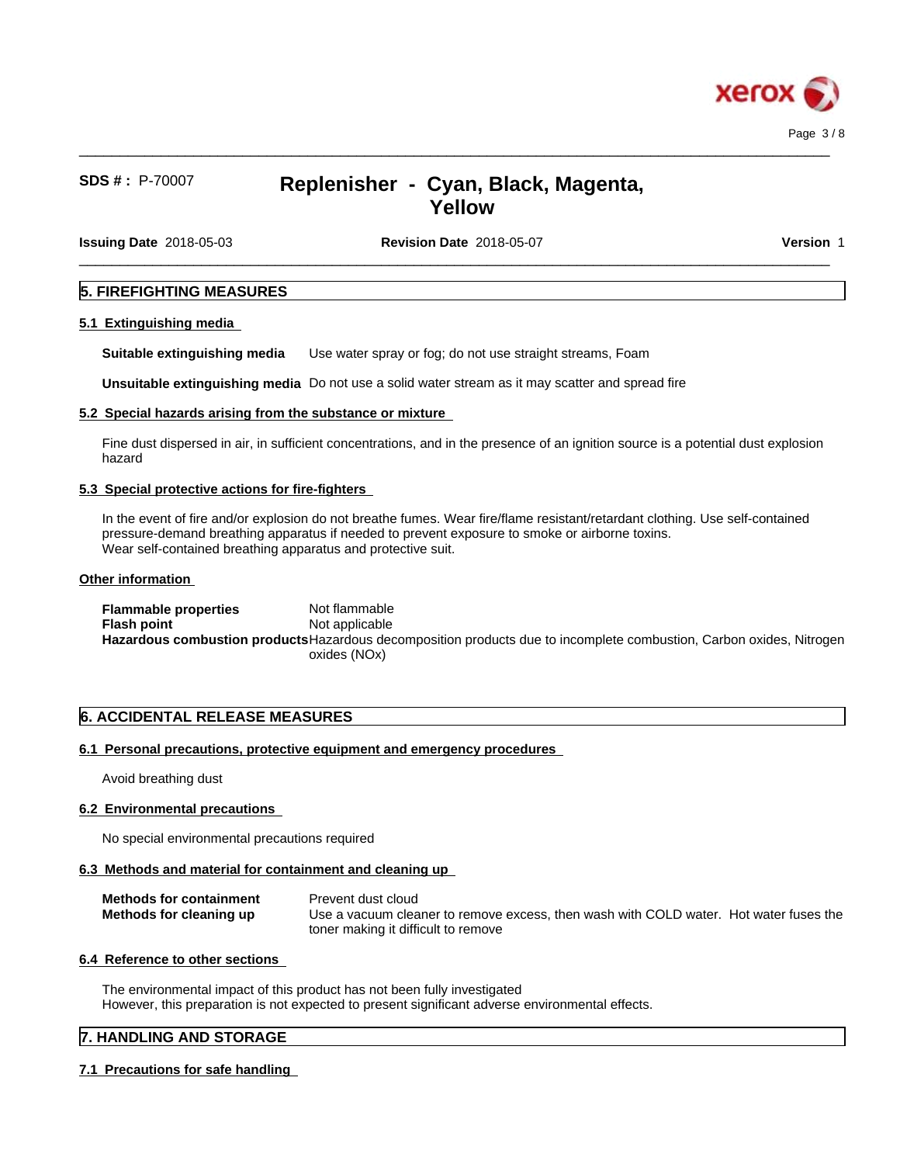

 $\_$  ,  $\_$  ,  $\_$  ,  $\_$  ,  $\_$  ,  $\_$  ,  $\_$  ,  $\_$  ,  $\_$  ,  $\_$  ,  $\_$  ,  $\_$  ,  $\_$  ,  $\_$  ,  $\_$  ,  $\_$  ,  $\_$  ,  $\_$  ,  $\_$  ,  $\_$  ,  $\_$  ,  $\_$  ,  $\_$  ,  $\_$  ,  $\_$  ,  $\_$  ,  $\_$  ,  $\_$  ,  $\_$  ,  $\_$  ,  $\_$  ,  $\_$  ,  $\_$  ,  $\_$  ,  $\_$  ,  $\_$  ,  $\_$  ,

 $\_$  ,  $\_$  ,  $\_$  ,  $\_$  ,  $\_$  ,  $\_$  ,  $\_$  ,  $\_$  ,  $\_$  ,  $\_$  ,  $\_$  ,  $\_$  ,  $\_$  ,  $\_$  ,  $\_$  ,  $\_$  ,  $\_$  ,  $\_$  ,  $\_$  ,  $\_$  ,  $\_$  ,  $\_$  ,  $\_$  ,  $\_$  ,  $\_$  ,  $\_$  ,  $\_$  ,  $\_$  ,  $\_$  ,  $\_$  ,  $\_$  ,  $\_$  ,  $\_$  ,  $\_$  ,  $\_$  ,  $\_$  ,  $\_$  ,

**Issuing Date** 2018-05-03 **Revision Date** 2018-05-07 **Version** 1

### **5. FIREFIGHTING MEASURES**

#### **5.1 Extinguishing media**

**Suitable extinguishing media** Use water spray or fog; do not use straight streams, Foam

**Unsuitable extinguishing media** Do not use a solid water stream as it may scatterand spread fire

#### **5.2 Special hazards arising from the substance or mixture**

Fine dust dispersed in air, in sufficient concentrations, and in the presence of an ignition source is a potential dust explosion hazard

#### **5.3 Special protective actions for fire-fighters**

In the event of fire and/or explosion do not breathe fumes. Wear fire/flame resistant/retardant clothing. Use self-contained pressure-demand breathing apparatus if needed to prevent exposure to smoke or airborne toxins. Wear self-contained breathing apparatus and protective suit.

#### **Other information**

**Flammable properties** Not flammable **Flash point** Not applicable **Hazardous combustion products**Hazardous decomposition products due to incomplete combustion, Carbon oxides, Nitrogen oxides (NOx)

## **6. ACCIDENTAL RELEASE MEASURES**

### **6.1 Personal precautions, protective equipment and emergency procedures**

Avoid breathing dust

#### **6.2 Environmental precautions**

No special environmental precautions required

## **6.3 Methods and material for containment and cleaning up**

| <b>Methods for containment</b> | Prevent dust cloud                                                                    |
|--------------------------------|---------------------------------------------------------------------------------------|
| Methods for cleaning up        | Use a vacuum cleaner to remove excess, then wash with COLD water. Hot water fuses the |
|                                | toner making it difficult to remove                                                   |

## **6.4 Reference to other sections**

The environmental impact of this product has not been fully investigated However, this preparation is not expected to present significant adverse environmental effects.

## **7. HANDLING AND STORAGE**

## **7.1 Precautions for safe handling**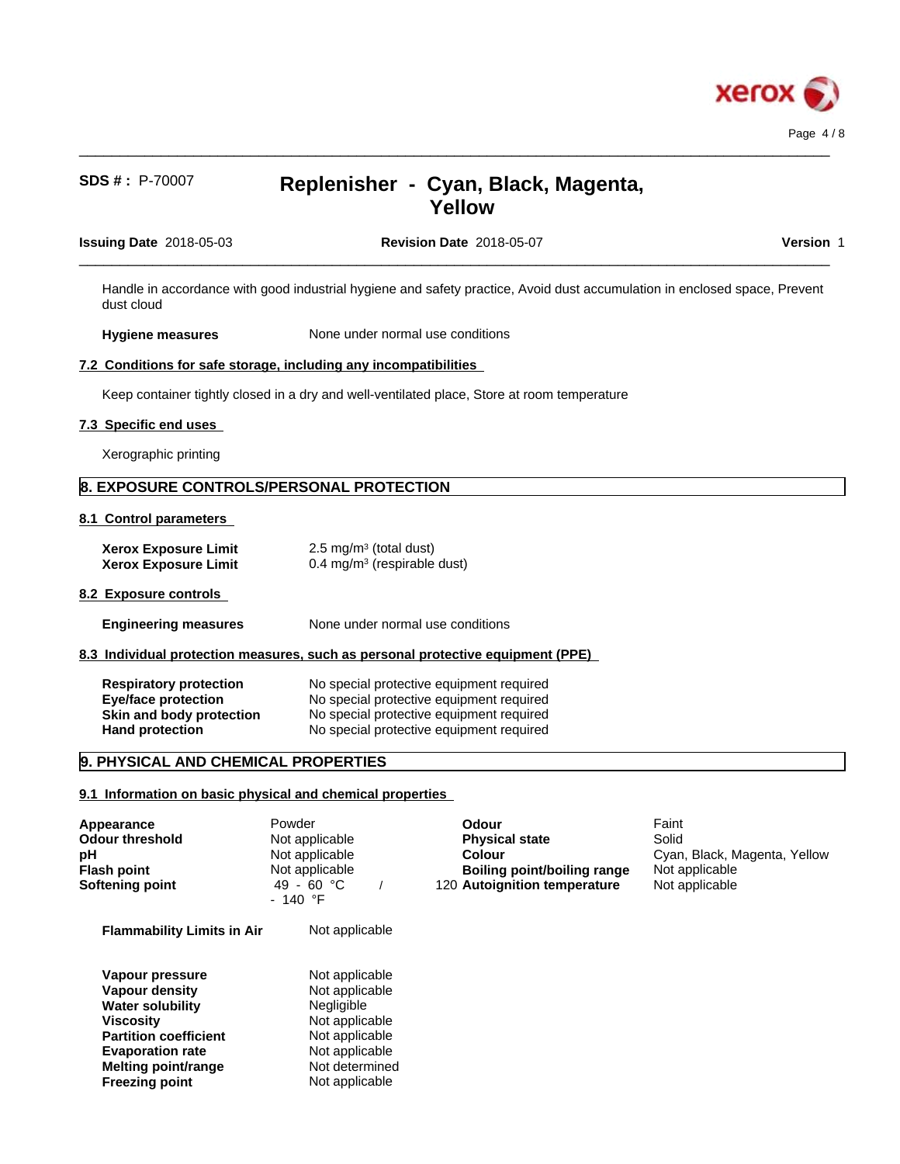

dust cloud

# **SDS # :** P-70007 **Replenisher - Cyan, Black, Magenta, Yellow**

 $\_$  ,  $\_$  ,  $\_$  ,  $\_$  ,  $\_$  ,  $\_$  ,  $\_$  ,  $\_$  ,  $\_$  ,  $\_$  ,  $\_$  ,  $\_$  ,  $\_$  ,  $\_$  ,  $\_$  ,  $\_$  ,  $\_$  ,  $\_$  ,  $\_$  ,  $\_$  ,  $\_$  ,  $\_$  ,  $\_$  ,  $\_$  ,  $\_$  ,  $\_$  ,  $\_$  ,  $\_$  ,  $\_$  ,  $\_$  ,  $\_$  ,  $\_$  ,  $\_$  ,  $\_$  ,  $\_$  ,  $\_$  ,  $\_$  ,

| <b>Issuing Date</b> 2018-05-03 | <b>Revision Date 2018-05-07</b>                                                                                           | Version |
|--------------------------------|---------------------------------------------------------------------------------------------------------------------------|---------|
|                                | Handle in accordance with good industrial hygiene and safety practice, Avoid dust accumulation in enclosed space, Prevent |         |

**Hygiene measures** None under normal use conditions

#### **7.2 Conditions for safe storage, including any incompatibilities**

Keep container tightly closed in a dry and well-ventilated place, Store at room temperature

#### **7.3 Specific end uses**

Xerographic printing

# **8. EXPOSURE CONTROLS/PERSONAL PROTECTION**

#### **8.1 Control parameters**

| <b>Xerox Exposure Limit</b> | $2.5 \text{ mg/m}^3$ (total dust)      |
|-----------------------------|----------------------------------------|
| <b>Xerox Exposure Limit</b> | $0.4 \text{ mg/m}^3$ (respirable dust) |

#### **8.2 Exposure controls**

- **Engineering measures** None under normal use conditions
- **8.3 Individual protection measures, such as personal protective equipment (PPE)**

| <b>Respiratory protection</b> | No special protective equipment required |
|-------------------------------|------------------------------------------|
| Eye/face protection           | No special protective equipment required |
| Skin and body protection      | No special protective equipment required |
| <b>Hand protection</b>        | No special protective equipment required |

## **9. PHYSICAL AND CHEMICAL PROPERTIES**

#### **9.1 Information on basic physical and chemical properties**

| Appearance<br>Odour threshold<br>рH<br>Flash point<br>Softening point                                                                                                                              | Powder<br>Not applicable<br>Not applicable<br>Not applicable<br>49 - 60 °C<br>$-140$ °F                                                         | <b>Odour</b><br><b>Physical state</b><br>Colour<br>Boiling point/boiling range<br>120 Autoignition temperature | Faint<br>Solid<br>Cyan, Black, Magenta, Yellow<br>Not applicable<br>Not applicable |  |
|----------------------------------------------------------------------------------------------------------------------------------------------------------------------------------------------------|-------------------------------------------------------------------------------------------------------------------------------------------------|----------------------------------------------------------------------------------------------------------------|------------------------------------------------------------------------------------|--|
| <b>Flammability Limits in Air</b>                                                                                                                                                                  | Not applicable                                                                                                                                  |                                                                                                                |                                                                                    |  |
| Vapour pressure<br>Vapour density<br><b>Water solubility</b><br><b>Viscosity</b><br><b>Partition coefficient</b><br><b>Evaporation rate</b><br><b>Melting point/range</b><br><b>Freezing point</b> | Not applicable<br>Not applicable<br><b>Negligible</b><br>Not applicable<br>Not applicable<br>Not applicable<br>Not determined<br>Not applicable |                                                                                                                |                                                                                    |  |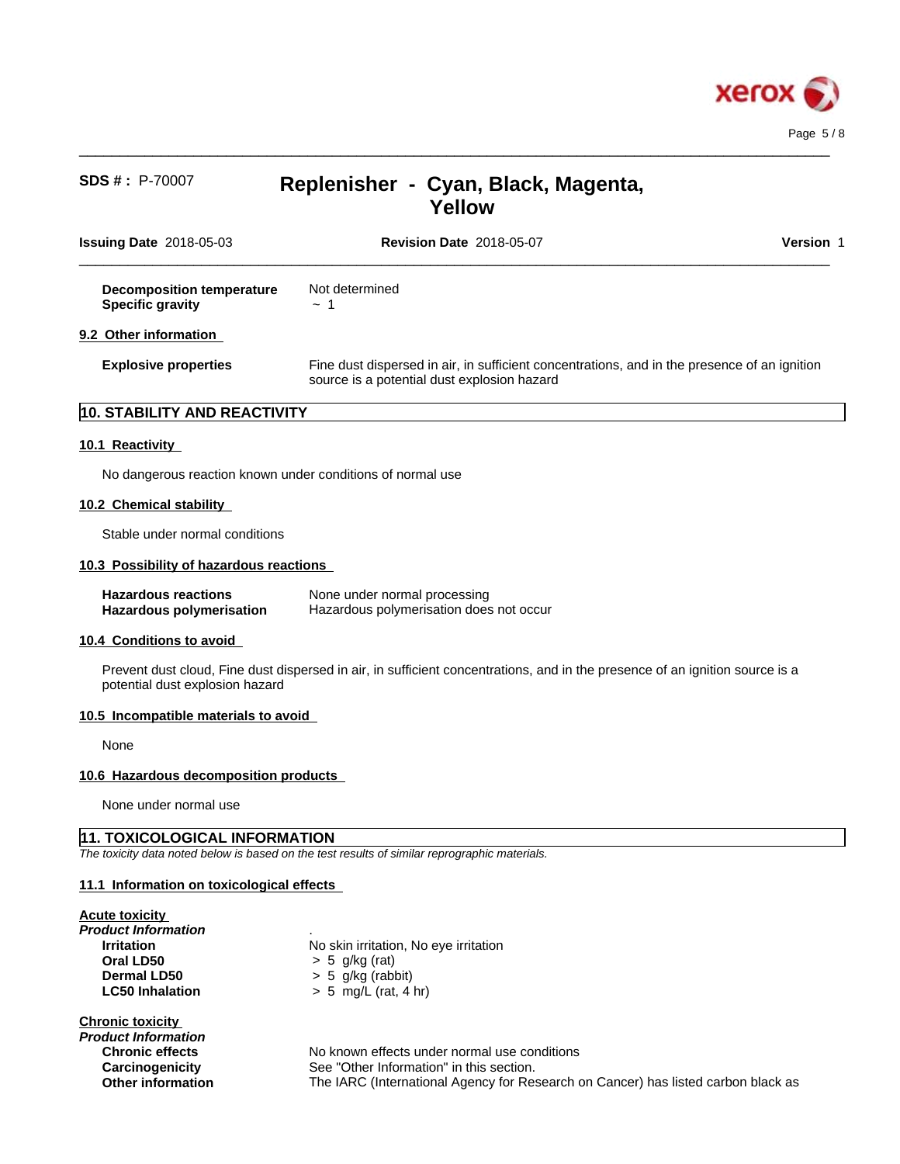

 $\_$  ,  $\_$  ,  $\_$  ,  $\_$  ,  $\_$  ,  $\_$  ,  $\_$  ,  $\_$  ,  $\_$  ,  $\_$  ,  $\_$  ,  $\_$  ,  $\_$  ,  $\_$  ,  $\_$  ,  $\_$  ,  $\_$  ,  $\_$  ,  $\_$  ,  $\_$  ,  $\_$  ,  $\_$  ,  $\_$  ,  $\_$  ,  $\_$  ,  $\_$  ,  $\_$  ,  $\_$  ,  $\_$  ,  $\_$  ,  $\_$  ,  $\_$  ,  $\_$  ,  $\_$  ,  $\_$  ,  $\_$  ,  $\_$  ,

| <b>Issuing Date 2018-05-03</b>                              | <b>Revision Date 2018-05-07</b>                                                                                                             | <b>Version 1</b> |
|-------------------------------------------------------------|---------------------------------------------------------------------------------------------------------------------------------------------|------------------|
| <b>Decomposition temperature</b><br><b>Specific gravity</b> | Not determined<br>$\sim$ 1                                                                                                                  |                  |
| 9.2 Other information                                       |                                                                                                                                             |                  |
| <b>Explosive properties</b>                                 | Fine dust dispersed in air, in sufficient concentrations, and in the presence of an ignition<br>source is a potential dust explosion hazard |                  |

# **10. STABILITY AND REACTIVITY**

### **10.1 Reactivity**

No dangerous reaction known under conditions of normal use

#### **10.2 Chemical stability**

Stable under normal conditions

#### **10.3 Possibility of hazardous reactions**

| <b>Hazardous reactions</b>      | None under normal processing            |
|---------------------------------|-----------------------------------------|
| <b>Hazardous polymerisation</b> | Hazardous polymerisation does not occur |

#### **10.4 Conditions to avoid**

Prevent dust cloud, Fine dust dispersed in air, in sufficient concentrations, and in the presence of an ignition source is a potential dust explosion hazard

#### **10.5 Incompatible materials to avoid**

None

#### **10.6 Hazardous decomposition products**

None under normal use

### **11. TOXICOLOGICAL INFORMATION**

*The toxicity data noted below is based on the test results of similar reprographic materials.*

#### **11.1 Information on toxicologicaleffects**

#### **Acute toxicity**

*Product Information* . **Oral LD50** > 5 g/kg (rat) **Dermal LD50** > 5 g/kg (rabbit) **LC50 Inhalation** > 5 mg/L (rat, 4 hr)

#### **Chronic toxicity**

*Product Information*

**Irritation** No skin irritation, No eye irritation

**Chronic effects** No known effects under normal use conditions **Carcinogenicity** See "Other Information" in this section. **Other information** The IARC (International Agency for Research on Cancer) has listed carbon black as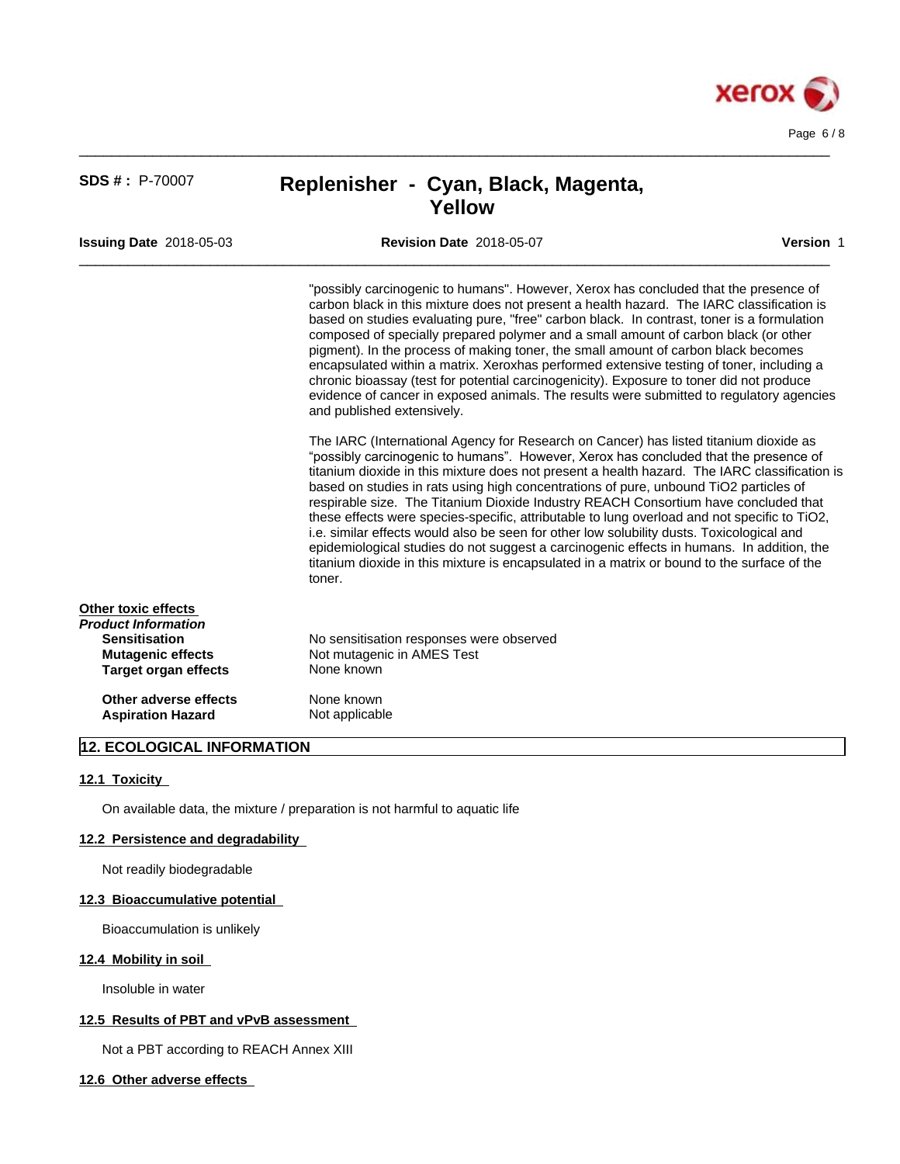

 $\_$  ,  $\_$  ,  $\_$  ,  $\_$  ,  $\_$  ,  $\_$  ,  $\_$  ,  $\_$  ,  $\_$  ,  $\_$  ,  $\_$  ,  $\_$  ,  $\_$  ,  $\_$  ,  $\_$  ,  $\_$  ,  $\_$  ,  $\_$  ,  $\_$  ,  $\_$  ,  $\_$  ,  $\_$  ,  $\_$  ,  $\_$  ,  $\_$  ,  $\_$  ,  $\_$  ,  $\_$  ,  $\_$  ,  $\_$  ,  $\_$  ,  $\_$  ,  $\_$  ,  $\_$  ,  $\_$  ,  $\_$  ,  $\_$  ,

 $\_$  ,  $\_$  ,  $\_$  ,  $\_$  ,  $\_$  ,  $\_$  ,  $\_$  ,  $\_$  ,  $\_$  ,  $\_$  ,  $\_$  ,  $\_$  ,  $\_$  ,  $\_$  ,  $\_$  ,  $\_$  ,  $\_$  ,  $\_$  ,  $\_$  ,  $\_$  ,  $\_$  ,  $\_$  ,  $\_$  ,  $\_$  ,  $\_$  ,  $\_$  ,  $\_$  ,  $\_$  ,  $\_$  ,  $\_$  ,  $\_$  ,  $\_$  ,  $\_$  ,  $\_$  ,  $\_$  ,  $\_$  ,  $\_$  ,

**Issuing Date** 2018-05-03 **Revision Date** 2018-05-07 **Version** 1

"possibly carcinogenic to humans". However, Xerox has concluded that the presence of carbon black in this mixture does not present a health hazard. The IARC classification is based on studies evaluating pure, "free" carbon black. In contrast, toner is a formulation composed of specially prepared polymer and a small amount of carbon black (or other pigment). In the process of making toner, the small amount of carbon black becomes encapsulated within a matrix. Xeroxhas performed extensive testing of toner, including a chronic bioassay (test for potential carcinogenicity). Exposure to toner did not produce evidence of cancer in exposed animals. The results were submitted to regulatory agencies and published extensively.

The IARC (International Agency for Research on Cancer) has listed titanium dioxide as "possibly carcinogenic to humans". However, Xerox has concluded that the presence of titanium dioxide in this mixture does not present a health hazard. The IARC classification is based on studies in rats using high concentrations of pure, unbound TiO2 particles of respirable size. The Titanium Dioxide Industry REACH Consortium have concluded that these effects were species-specific, attributable to lung overload and not specific to TiO2, i.e. similar effects would also be seen for other low solubility dusts. Toxicological and epidemiological studies do not suggest a carcinogenic effects in humans. In addition, the titanium dioxide in this mixture is encapsulated in a matrix or bound to the surface of the toner.

| Other toxic effects      |                                          |  |
|--------------------------|------------------------------------------|--|
| Product Information      |                                          |  |
| <b>Sensitisation</b>     | No sensitisation responses were observed |  |
| <b>Mutagenic effects</b> | Not mutagenic in AMES Test               |  |
| Target organ effects     | None known                               |  |
| Other adverse effects    | None known                               |  |
| <b>Aspiration Hazard</b> | Not applicable                           |  |

## **12. ECOLOGICAL INFORMATION**

#### **12.1 Toxicity**

On available data, the mixture / preparation is not harmful to aquatic life

#### **12.2 Persistence and degradability**

Not readily biodegradable

#### **12.3 Bioaccumulative potential**

Bioaccumulation is unlikely

#### **12.4 Mobility in soil**

Insoluble in water

#### **12.5 Results of PBT and vPvB assessment**

Not a PBT according to REACH Annex XIII

**12.6 Other adverse effects**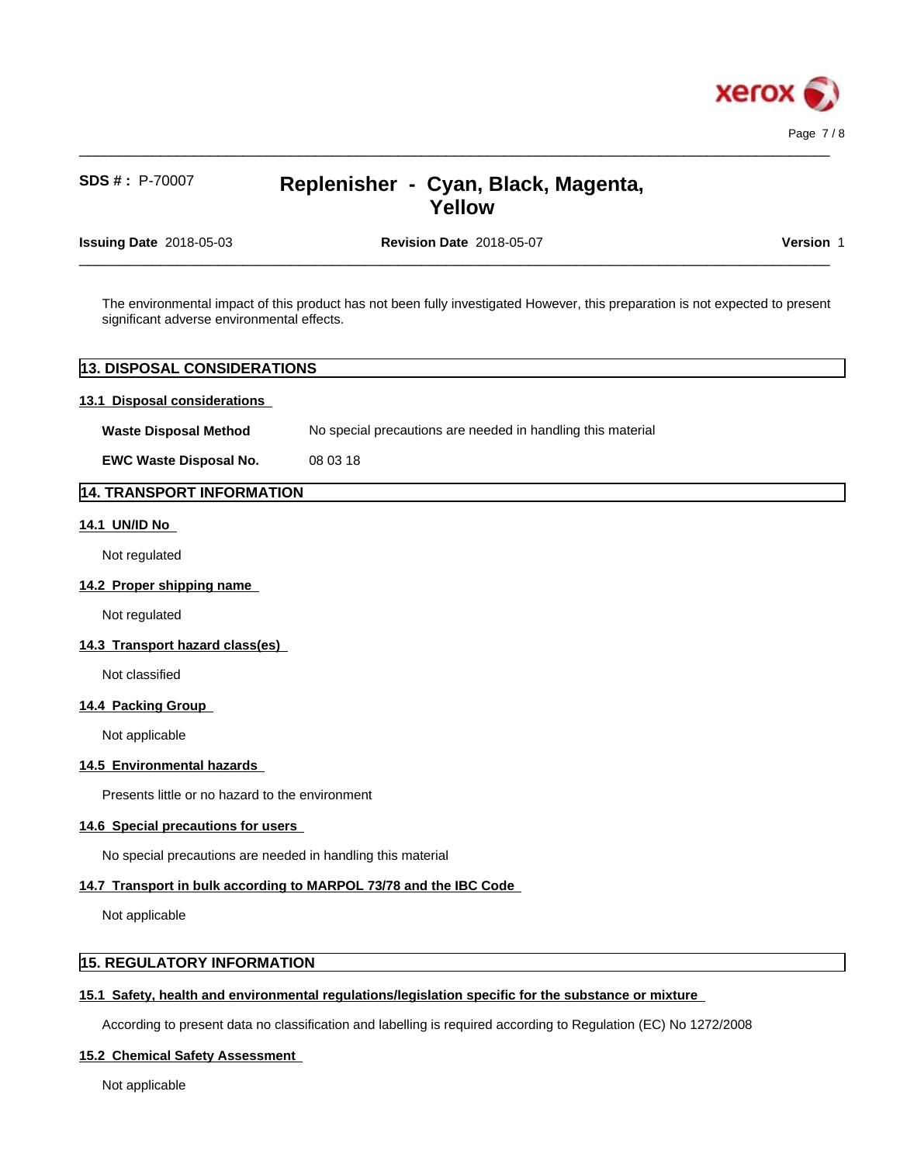

 $\_$  ,  $\_$  ,  $\_$  ,  $\_$  ,  $\_$  ,  $\_$  ,  $\_$  ,  $\_$  ,  $\_$  ,  $\_$  ,  $\_$  ,  $\_$  ,  $\_$  ,  $\_$  ,  $\_$  ,  $\_$  ,  $\_$  ,  $\_$  ,  $\_$  ,  $\_$  ,  $\_$  ,  $\_$  ,  $\_$  ,  $\_$  ,  $\_$  ,  $\_$  ,  $\_$  ,  $\_$  ,  $\_$  ,  $\_$  ,  $\_$  ,  $\_$  ,  $\_$  ,  $\_$  ,  $\_$  ,  $\_$  ,  $\_$  ,

 $\_$  ,  $\_$  ,  $\_$  ,  $\_$  ,  $\_$  ,  $\_$  ,  $\_$  ,  $\_$  ,  $\_$  ,  $\_$  ,  $\_$  ,  $\_$  ,  $\_$  ,  $\_$  ,  $\_$  ,  $\_$  ,  $\_$  ,  $\_$  ,  $\_$  ,  $\_$  ,  $\_$  ,  $\_$  ,  $\_$  ,  $\_$  ,  $\_$  ,  $\_$  ,  $\_$  ,  $\_$  ,  $\_$  ,  $\_$  ,  $\_$  ,  $\_$  ,  $\_$  ,  $\_$  ,  $\_$  ,  $\_$  ,  $\_$  ,

**Issuing Date** 2018-05-03 **Revision Date** 2018-05-07 **Version** 1

The environmental impact of this product has not been fully investigated However, this preparation is not expected to present significant adverse environmental effects.

## **13. DISPOSAL CONSIDERATIONS**

#### **13.1 Disposal considerations**

**Waste Disposal Method** No special precautions are needed in handling this material

**EWC Waste Disposal No.** 08 03 18

## **14. TRANSPORT INFORMATION**

### **14.1 UN/ID No**

Not regulated

#### **14.2 Proper shipping name**

Not regulated

### **14.3 Transport hazard class(es)**

Not classified

#### **14.4 Packing Group**

Not applicable

#### **14.5 Environmental hazards**

Presents little or no hazard to the environment

#### **14.6 Special precautions for users**

No special precautions are needed in handling this material

#### **14.7 Transport in bulk according to MARPOL 73/78 and the IBC Code**

Not applicable

## **15. REGULATORY INFORMATION**

### **15.1 Safety, health and environmental regulations/legislation specific for the substance or mixture**

According to present data no classification and labelling is required according to Regulation (EC) No 1272/2008

#### **15.2 Chemical Safety Assessment**

Not applicable